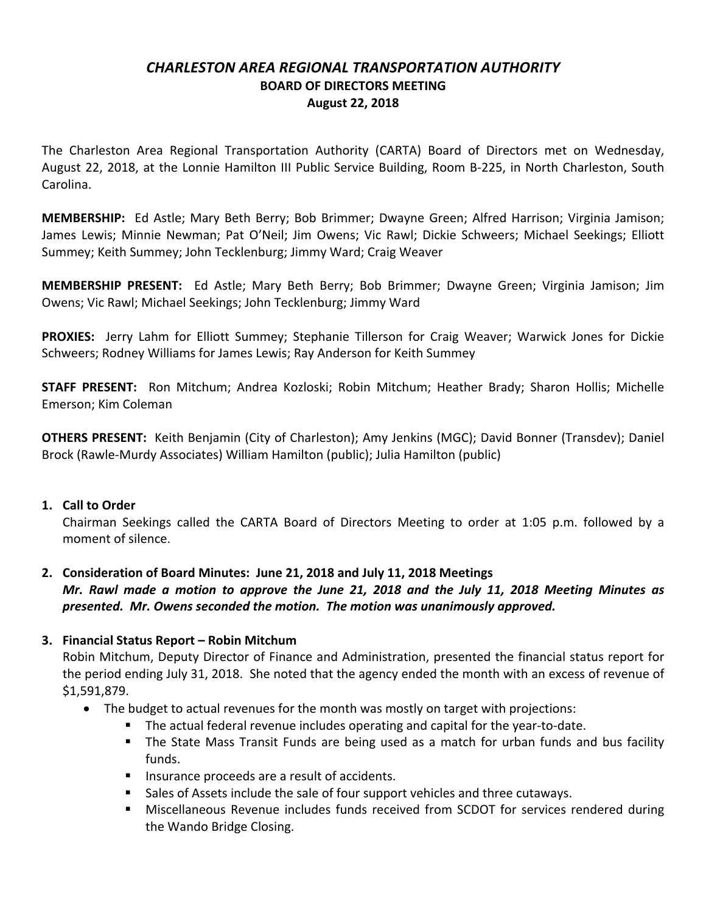# *CHARLESTON AREA REGIONAL TRANSPORTATION AUTHORITY* **BOARD OF DIRECTORS MEETING August 22, 2018**

The Charleston Area Regional Transportation Authority (CARTA) Board of Directors met on Wednesday, August 22, 2018, at the Lonnie Hamilton III Public Service Building, Room B-225, in North Charleston, South Carolina.

**MEMBERSHIP:** Ed Astle; Mary Beth Berry; Bob Brimmer; Dwayne Green; Alfred Harrison; Virginia Jamison; James Lewis; Minnie Newman; Pat O'Neil; Jim Owens; Vic Rawl; Dickie Schweers; Michael Seekings; Elliott Summey; Keith Summey; John Tecklenburg; Jimmy Ward; Craig Weaver

**MEMBERSHIP PRESENT:** Ed Astle; Mary Beth Berry; Bob Brimmer; Dwayne Green; Virginia Jamison; Jim Owens; Vic Rawl; Michael Seekings; John Tecklenburg; Jimmy Ward

**PROXIES:** Jerry Lahm for Elliott Summey; Stephanie Tillerson for Craig Weaver; Warwick Jones for Dickie Schweers; Rodney Williams for James Lewis; Ray Anderson for Keith Summey

**STAFF PRESENT:** Ron Mitchum; Andrea Kozloski; Robin Mitchum; Heather Brady; Sharon Hollis; Michelle Emerson; Kim Coleman

**OTHERS PRESENT:** Keith Benjamin (City of Charleston); Amy Jenkins (MGC); David Bonner (Transdev); Daniel Brock (Rawle-Murdy Associates) William Hamilton (public); Julia Hamilton (public)

#### **1. Call to Order**

Chairman Seekings called the CARTA Board of Directors Meeting to order at 1:05 p.m. followed by a moment of silence.

## **2. Consideration of Board Minutes: June 21, 2018 and July 11, 2018 Meetings**

*Mr. Rawl made a motion to approve the June 21, 2018 and the July 11, 2018 Meeting Minutes as presented. Mr. Owens seconded the motion. The motion was unanimously approved.*

#### **3. Financial Status Report – Robin Mitchum**

Robin Mitchum, Deputy Director of Finance and Administration, presented the financial status report for the period ending July 31, 2018. She noted that the agency ended the month with an excess of revenue of \$1,591,879.

- The budget to actual revenues for the month was mostly on target with projections:
	- § The actual federal revenue includes operating and capital for the year-to-date.
	- The State Mass Transit Funds are being used as a match for urban funds and bus facility funds.
	- Insurance proceeds are a result of accidents.
	- Sales of Assets include the sale of four support vehicles and three cutaways.
	- Miscellaneous Revenue includes funds received from SCDOT for services rendered during the Wando Bridge Closing.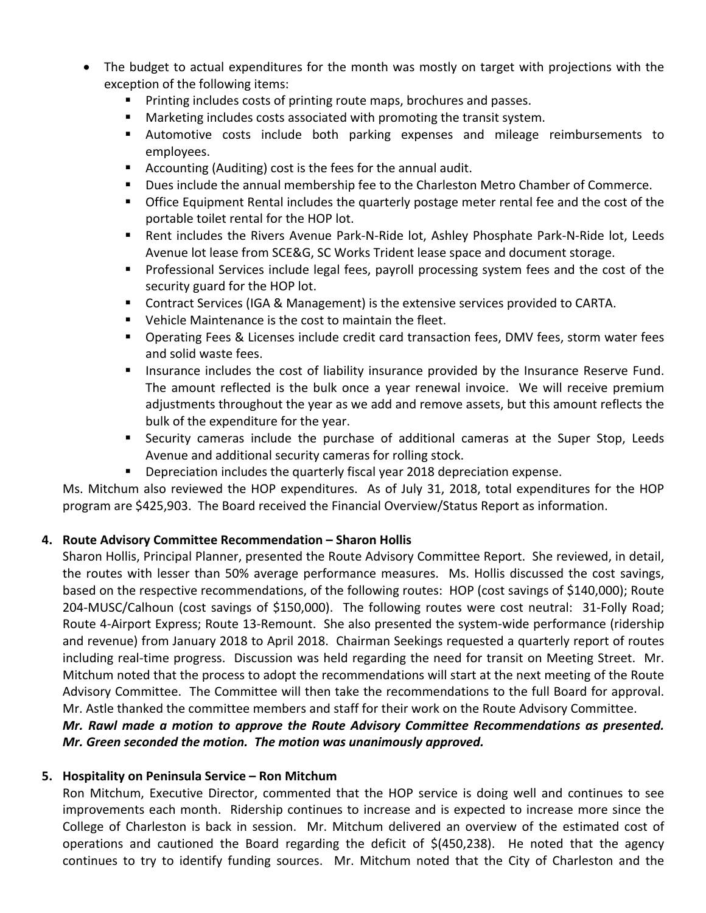- The budget to actual expenditures for the month was mostly on target with projections with the exception of the following items:
	- Printing includes costs of printing route maps, brochures and passes.
	- Marketing includes costs associated with promoting the transit system.
	- § Automotive costs include both parking expenses and mileage reimbursements to employees.
	- Accounting (Auditing) cost is the fees for the annual audit.
	- § Dues include the annual membership fee to the Charleston Metro Chamber of Commerce.
	- Office Equipment Rental includes the quarterly postage meter rental fee and the cost of the portable toilet rental for the HOP lot.
	- Rent includes the Rivers Avenue Park-N-Ride lot, Ashley Phosphate Park-N-Ride lot, Leeds Avenue lot lease from SCE&G, SC Works Trident lease space and document storage.
	- § Professional Services include legal fees, payroll processing system fees and the cost of the security guard for the HOP lot.
	- Contract Services (IGA & Management) is the extensive services provided to CARTA.
	- Vehicle Maintenance is the cost to maintain the fleet.
	- Operating Fees & Licenses include credit card transaction fees, DMV fees, storm water fees and solid waste fees.
	- Insurance includes the cost of liability insurance provided by the Insurance Reserve Fund. The amount reflected is the bulk once a year renewal invoice. We will receive premium adjustments throughout the year as we add and remove assets, but this amount reflects the bulk of the expenditure for the year.
	- Security cameras include the purchase of additional cameras at the Super Stop, Leeds Avenue and additional security cameras for rolling stock.
	- Depreciation includes the quarterly fiscal year 2018 depreciation expense.

Ms. Mitchum also reviewed the HOP expenditures. As of July 31, 2018, total expenditures for the HOP program are \$425,903. The Board received the Financial Overview/Status Report as information.

# **4. Route Advisory Committee Recommendation – Sharon Hollis**

Sharon Hollis, Principal Planner, presented the Route Advisory Committee Report. She reviewed, in detail, the routes with lesser than 50% average performance measures. Ms. Hollis discussed the cost savings, based on the respective recommendations, of the following routes: HOP (cost savings of \$140,000); Route 204-MUSC/Calhoun (cost savings of \$150,000). The following routes were cost neutral: 31-Folly Road; Route 4-Airport Express; Route 13-Remount. She also presented the system-wide performance (ridership and revenue) from January 2018 to April 2018. Chairman Seekings requested a quarterly report of routes including real-time progress. Discussion was held regarding the need for transit on Meeting Street. Mr. Mitchum noted that the process to adopt the recommendations will start at the next meeting of the Route Advisory Committee. The Committee will then take the recommendations to the full Board for approval. Mr. Astle thanked the committee members and staff for their work on the Route Advisory Committee.

## *Mr. Rawl made a motion to approve the Route Advisory Committee Recommendations as presented. Mr. Green seconded the motion. The motion was unanimously approved.*

## **5. Hospitality on Peninsula Service – Ron Mitchum**

Ron Mitchum, Executive Director, commented that the HOP service is doing well and continues to see improvements each month. Ridership continues to increase and is expected to increase more since the College of Charleston is back in session. Mr. Mitchum delivered an overview of the estimated cost of operations and cautioned the Board regarding the deficit of \$(450,238). He noted that the agency continues to try to identify funding sources. Mr. Mitchum noted that the City of Charleston and the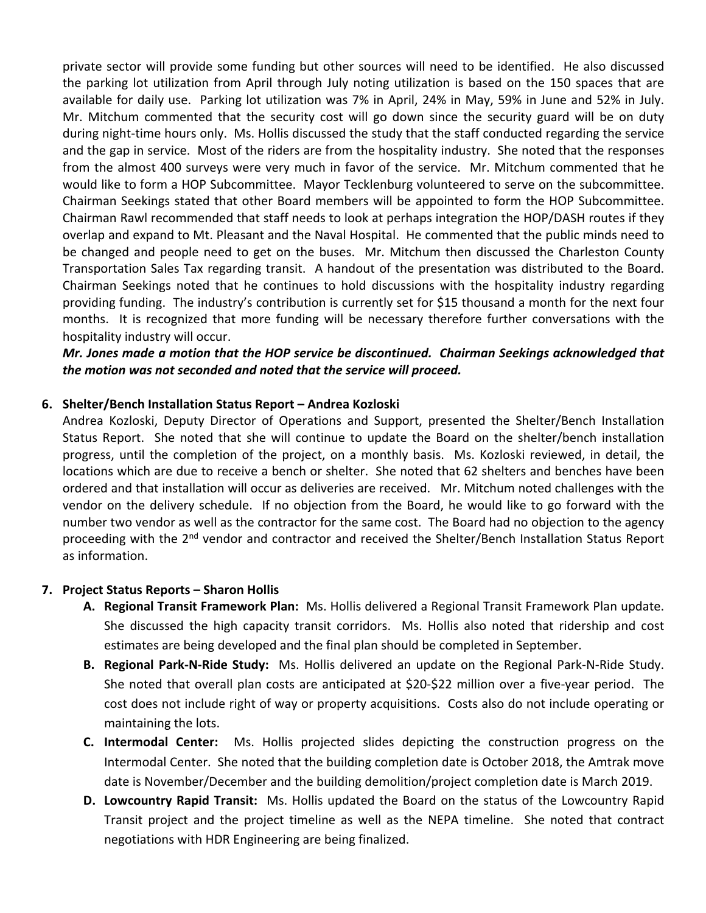private sector will provide some funding but other sources will need to be identified. He also discussed the parking lot utilization from April through July noting utilization is based on the 150 spaces that are available for daily use. Parking lot utilization was 7% in April, 24% in May, 59% in June and 52% in July. Mr. Mitchum commented that the security cost will go down since the security guard will be on duty during night-time hours only. Ms. Hollis discussed the study that the staff conducted regarding the service and the gap in service. Most of the riders are from the hospitality industry. She noted that the responses from the almost 400 surveys were very much in favor of the service. Mr. Mitchum commented that he would like to form a HOP Subcommittee. Mayor Tecklenburg volunteered to serve on the subcommittee. Chairman Seekings stated that other Board members will be appointed to form the HOP Subcommittee. Chairman Rawl recommended that staff needs to look at perhaps integration the HOP/DASH routes if they overlap and expand to Mt. Pleasant and the Naval Hospital. He commented that the public minds need to be changed and people need to get on the buses. Mr. Mitchum then discussed the Charleston County Transportation Sales Tax regarding transit. A handout of the presentation was distributed to the Board. Chairman Seekings noted that he continues to hold discussions with the hospitality industry regarding providing funding. The industry's contribution is currently set for \$15 thousand a month for the next four months. It is recognized that more funding will be necessary therefore further conversations with the hospitality industry will occur.

*Mr. Jones made a motion that the HOP service be discontinued. Chairman Seekings acknowledged that the motion was not seconded and noted that the service will proceed.*

### **6. Shelter/Bench Installation Status Report – Andrea Kozloski**

Andrea Kozloski, Deputy Director of Operations and Support, presented the Shelter/Bench Installation Status Report. She noted that she will continue to update the Board on the shelter/bench installation progress, until the completion of the project, on a monthly basis. Ms. Kozloski reviewed, in detail, the locations which are due to receive a bench or shelter. She noted that 62 shelters and benches have been ordered and that installation will occur as deliveries are received. Mr. Mitchum noted challenges with the vendor on the delivery schedule. If no objection from the Board, he would like to go forward with the number two vendor as well as the contractor for the same cost. The Board had no objection to the agency proceeding with the 2<sup>nd</sup> vendor and contractor and received the Shelter/Bench Installation Status Report as information.

#### **7. Project Status Reports – Sharon Hollis**

- **A. Regional Transit Framework Plan:** Ms. Hollis delivered a Regional Transit Framework Plan update. She discussed the high capacity transit corridors. Ms. Hollis also noted that ridership and cost estimates are being developed and the final plan should be completed in September.
- **B. Regional Park-N-Ride Study:** Ms. Hollis delivered an update on the Regional Park-N-Ride Study. She noted that overall plan costs are anticipated at \$20-\$22 million over a five-year period. The cost does not include right of way or property acquisitions. Costs also do not include operating or maintaining the lots.
- **C. Intermodal Center:** Ms. Hollis projected slides depicting the construction progress on the Intermodal Center. She noted that the building completion date is October 2018, the Amtrak move date is November/December and the building demolition/project completion date is March 2019.
- **D. Lowcountry Rapid Transit:** Ms. Hollis updated the Board on the status of the Lowcountry Rapid Transit project and the project timeline as well as the NEPA timeline. She noted that contract negotiations with HDR Engineering are being finalized.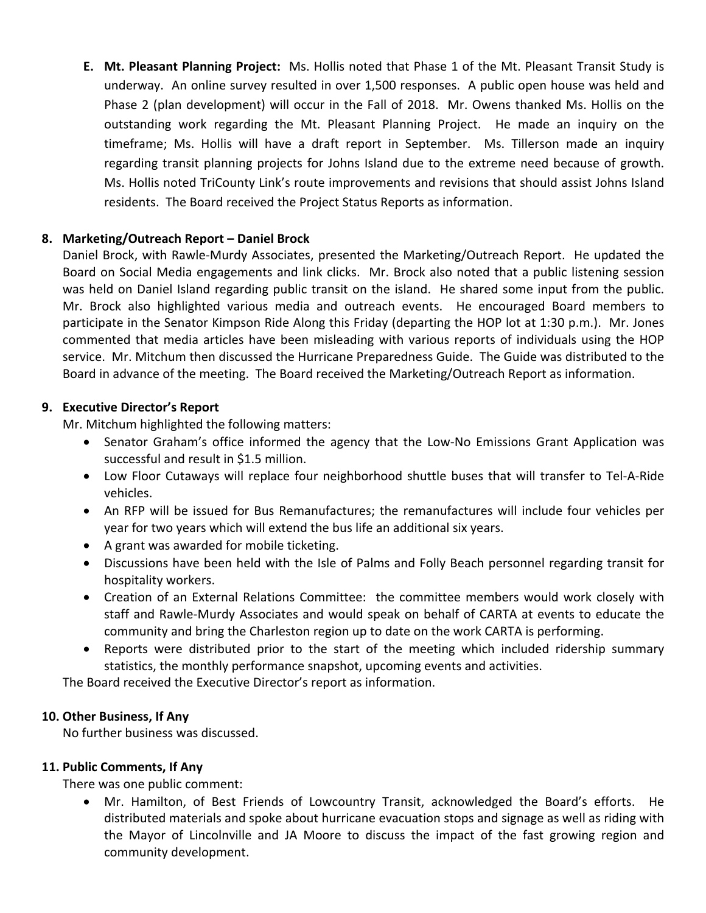**E. Mt. Pleasant Planning Project:** Ms. Hollis noted that Phase 1 of the Mt. Pleasant Transit Study is underway. An online survey resulted in over 1,500 responses. A public open house was held and Phase 2 (plan development) will occur in the Fall of 2018. Mr. Owens thanked Ms. Hollis on the outstanding work regarding the Mt. Pleasant Planning Project. He made an inquiry on the timeframe; Ms. Hollis will have a draft report in September. Ms. Tillerson made an inquiry regarding transit planning projects for Johns Island due to the extreme need because of growth. Ms. Hollis noted TriCounty Link's route improvements and revisions that should assist Johns Island residents. The Board received the Project Status Reports as information.

### **8. Marketing/Outreach Report – Daniel Brock**

Daniel Brock, with Rawle-Murdy Associates, presented the Marketing/Outreach Report. He updated the Board on Social Media engagements and link clicks. Mr. Brock also noted that a public listening session was held on Daniel Island regarding public transit on the island. He shared some input from the public. Mr. Brock also highlighted various media and outreach events. He encouraged Board members to participate in the Senator Kimpson Ride Along this Friday (departing the HOP lot at 1:30 p.m.). Mr. Jones commented that media articles have been misleading with various reports of individuals using the HOP service. Mr. Mitchum then discussed the Hurricane Preparedness Guide. The Guide was distributed to the Board in advance of the meeting. The Board received the Marketing/Outreach Report as information.

### **9. Executive Director's Report**

Mr. Mitchum highlighted the following matters:

- Senator Graham's office informed the agency that the Low-No Emissions Grant Application was successful and result in \$1.5 million.
- Low Floor Cutaways will replace four neighborhood shuttle buses that will transfer to Tel-A-Ride vehicles.
- An RFP will be issued for Bus Remanufactures; the remanufactures will include four vehicles per year for two years which will extend the bus life an additional six years.
- A grant was awarded for mobile ticketing.
- Discussions have been held with the Isle of Palms and Folly Beach personnel regarding transit for hospitality workers.
- Creation of an External Relations Committee: the committee members would work closely with staff and Rawle-Murdy Associates and would speak on behalf of CARTA at events to educate the community and bring the Charleston region up to date on the work CARTA is performing.
- Reports were distributed prior to the start of the meeting which included ridership summary statistics, the monthly performance snapshot, upcoming events and activities.

The Board received the Executive Director's report as information.

## **10. Other Business, If Any**

No further business was discussed.

#### **11. Public Comments, If Any**

There was one public comment:

• Mr. Hamilton, of Best Friends of Lowcountry Transit, acknowledged the Board's efforts. He distributed materials and spoke about hurricane evacuation stops and signage as well as riding with the Mayor of Lincolnville and JA Moore to discuss the impact of the fast growing region and community development.